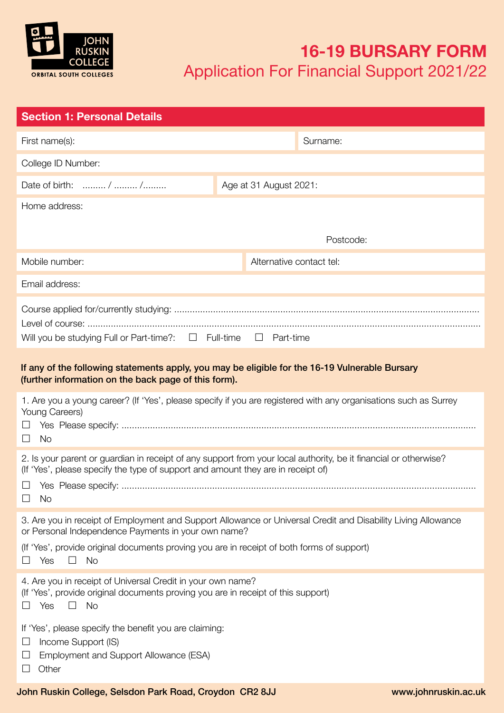

# **16-19 BURSARY FORM** Application For Financial Support 2021/22

| <b>Section 1: Personal Details</b>                                                                                                                                                                                                                                                               |                          |           |  |  |
|--------------------------------------------------------------------------------------------------------------------------------------------------------------------------------------------------------------------------------------------------------------------------------------------------|--------------------------|-----------|--|--|
| First name(s):                                                                                                                                                                                                                                                                                   |                          | Surname:  |  |  |
| College ID Number:                                                                                                                                                                                                                                                                               |                          |           |  |  |
| Date of birth:  /  /                                                                                                                                                                                                                                                                             | Age at 31 August 2021:   |           |  |  |
| Home address:                                                                                                                                                                                                                                                                                    |                          |           |  |  |
|                                                                                                                                                                                                                                                                                                  |                          | Postcode: |  |  |
| Mobile number:                                                                                                                                                                                                                                                                                   | Alternative contact tel: |           |  |  |
| Email address:                                                                                                                                                                                                                                                                                   |                          |           |  |  |
| Will you be studying Full or Part-time?: $\Box$ Full-time<br>$\Box$ Part-time                                                                                                                                                                                                                    |                          |           |  |  |
| If any of the following statements apply, you may be eligible for the 16-19 Vulnerable Bursary<br>(further information on the back page of this form).                                                                                                                                           |                          |           |  |  |
| 1. Are you a young career? (If 'Yes', please specify if you are registered with any organisations such as Surrey<br>Young Careers)<br>⊔<br>$\Box$ No                                                                                                                                             |                          |           |  |  |
| 2. Is your parent or guardian in receipt of any support from your local authority, be it financial or otherwise?<br>(If 'Yes', please specify the type of support and amount they are in receipt of)<br>$\Box$ Yes Please specify:<br><b>No</b><br>$\Box$                                        |                          |           |  |  |
| 3. Are you in receipt of Employment and Support Allowance or Universal Credit and Disability Living Allowance<br>or Personal Independence Payments in your own name?<br>(If 'Yes', provide original documents proving you are in receipt of both forms of support)<br><b>No</b><br>Yes<br>$\Box$ |                          |           |  |  |
| 4. Are you in receipt of Universal Credit in your own name?<br>(If 'Yes', provide original documents proving you are in receipt of this support)<br><b>No</b><br>Yes<br>$\Box$                                                                                                                   |                          |           |  |  |
| If 'Yes', please specify the benefit you are claiming:<br>Income Support (IS)<br>ப<br>Employment and Support Allowance (ESA)<br>Other                                                                                                                                                            |                          |           |  |  |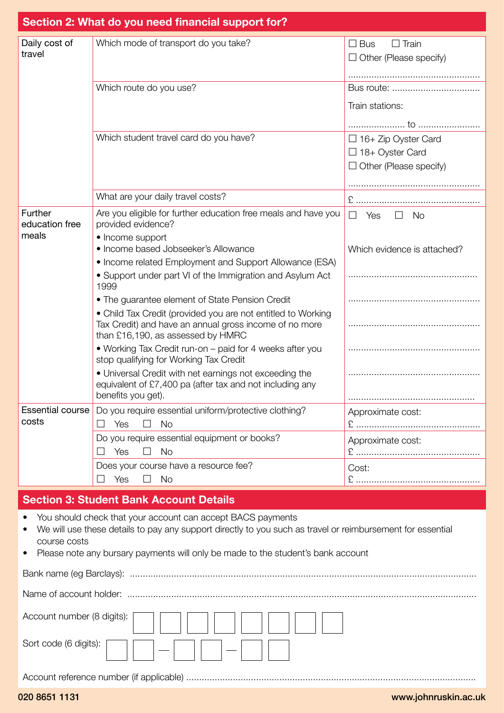|                         | Section 2: What do you need financial support for?                                                 |                                      |
|-------------------------|----------------------------------------------------------------------------------------------------|--------------------------------------|
|                         |                                                                                                    |                                      |
| Daily cost of           | Which mode of transport do you take?                                                               | $\Box$ Bus<br>$\Box$ Train           |
| travel                  |                                                                                                    | $\Box$ Other (Please specify)        |
|                         |                                                                                                    |                                      |
|                         | Which route do you use?                                                                            |                                      |
|                         |                                                                                                    |                                      |
|                         |                                                                                                    | Train stations:                      |
|                         |                                                                                                    |                                      |
|                         | Which student travel card do you have?                                                             | $\Box$ 16+ Zip Oyster Card           |
|                         |                                                                                                    | $\Box$ 18+ Oyster Card               |
|                         |                                                                                                    | $\Box$ Other (Please specify)        |
|                         |                                                                                                    |                                      |
|                         | What are your daily travel costs?                                                                  |                                      |
| Further                 | Are you eligible for further education free meals and have you                                     | $\Box$<br>Yes<br>$\Box$<br><b>No</b> |
| education free          | provided evidence?                                                                                 |                                      |
| meals                   | • Income support                                                                                   |                                      |
|                         | • Income based Jobseeker's Allowance                                                               | Which evidence is attached?          |
|                         | • Income related Employment and Support Allowance (ESA)                                            |                                      |
|                         | • Support under part VI of the Immigration and Asylum Act<br>1999                                  |                                      |
|                         | • The guarantee element of State Pension Credit                                                    |                                      |
|                         | • Child Tax Credit (provided you are not entitled to Working                                       |                                      |
|                         | Tax Credit) and have an annual gross income of no more<br>than £16,190, as assessed by HMRC        |                                      |
|                         | • Working Tax Credit run-on – paid for 4 weeks after you<br>stop qualifying for Working Tax Credit |                                      |
|                         | . Universal Credit with net earnings not exceeding the                                             |                                      |
|                         | equivalent of £7,400 pa (after tax and not including any<br>benefits you get).                     |                                      |
| <b>Essential course</b> |                                                                                                    |                                      |
| costs                   | Do you require essential uniform/protective clothing?<br>Yes<br>$\Box$<br><b>No</b>                | Approximate cost:                    |
|                         |                                                                                                    |                                      |
|                         | Do you require essential equipment or books?<br>Yes<br><b>No</b><br>$\mathsf{L}$                   | Approximate cost:                    |
|                         |                                                                                                    |                                      |
|                         | Does your course have a resource fee?<br>Yes<br>$\Box$<br><b>No</b>                                | Cost:                                |
|                         | <b>David Annuncial Data</b>                                                                        |                                      |

# **Section 3: Student Bank Account Details**

- You should check that your account can accept BACS payments
- We will use these details to pay any support directly to you such as travel or reimbursement for essential course costs
- Please note any bursary payments will only be made to the student's bank account

| Account number (8 digits): |
|----------------------------|
| Sort code (6 digits):      |
|                            |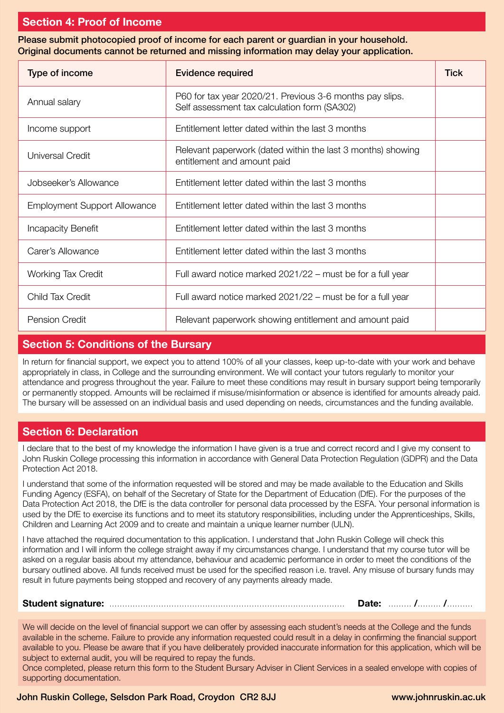# **Section 4: Proof of Income**

Please submit photocopied proof of income for each parent or guardian in your household. Original documents cannot be returned and missing information may delay your application.

| Type of income                      | <b>Evidence required</b>                                                                                 |  |
|-------------------------------------|----------------------------------------------------------------------------------------------------------|--|
| Annual salary                       | P60 for tax year 2020/21. Previous 3-6 months pay slips.<br>Self assessment tax calculation form (SA302) |  |
| Income support                      | Entitlement letter dated within the last 3 months                                                        |  |
| Universal Credit                    | Relevant paperwork (dated within the last 3 months) showing<br>entitlement and amount paid               |  |
| Jobseeker's Allowance               | Entitlement letter dated within the last 3 months                                                        |  |
| <b>Employment Support Allowance</b> | Entitlement letter dated within the last 3 months                                                        |  |
| <b>Incapacity Benefit</b>           | Entitlement letter dated within the last 3 months                                                        |  |
| Carer's Allowance                   | Entitlement letter dated within the last 3 months                                                        |  |
| <b>Working Tax Credit</b>           | Full award notice marked 2021/22 – must be for a full year                                               |  |
| Child Tax Credit                    | Full award notice marked 2021/22 – must be for a full year                                               |  |
| <b>Pension Credit</b>               | Relevant paperwork showing entitlement and amount paid                                                   |  |

# **Section 5: Conditions of the Bursary**

In return for financial support, we expect you to attend 100% of all your classes, keep up-to-date with your work and behave appropriately in class, in College and the surrounding environment. We will contact your tutors regularly to monitor your attendance and progress throughout the year. Failure to meet these conditions may result in bursary support being temporarily or permanently stopped. Amounts will be reclaimed if misuse/misinformation or absence is identified for amounts already paid. The bursary will be assessed on an individual basis and used depending on needs, circumstances and the funding available.

# **Section 6: Declaration**

I declare that to the best of my knowledge the information I have given is a true and correct record and I give my consent to John Ruskin College processing this information in accordance with General Data Protection Regulation (GDPR) and the Data Protection Act 2018.

I understand that some of the information requested will be stored and may be made available to the Education and Skills Funding Agency (ESFA), on behalf of the Secretary of State for the Department of Education (DfE). For the purposes of the Data Protection Act 2018, the DfE is the data controller for personal data processed by the ESFA. Your personal information is used by the DfE to exercise its functions and to meet its statutory responsibilities, including under the Apprenticeships, Skills, Children and Learning Act 2009 and to create and maintain a unique learner number (ULN).

I have attached the required documentation to this application. I understand that John Ruskin College will check this information and I will inform the college straight away if my circumstances change. I understand that my course tutor will be asked on a regular basis about my attendance, behaviour and academic performance in order to meet the conditions of the bursary outlined above. All funds received must be used for the specified reason i.e. travel. Any misuse of bursary funds may result in future payments being stopped and recovery of any payments already made.

**Student signature:** ........................................................................................... **Date:** ......... **/**......... **/**..........

We will decide on the level of financial support we can offer by assessing each student's needs at the College and the funds available in the scheme. Failure to provide any information requested could result in a delay in confirming the financial support available to you. Please be aware that if you have deliberately provided inaccurate information for this application, which will be subject to external audit, you will be required to repay the funds.

Once completed, please return this form to the Student Bursary Adviser in Client Services in a sealed envelope with copies of supporting documentation.

#### John Ruskin College, Selsdon Park Road, Croydon CR2 8JJ www.johnruskin.ac.uk